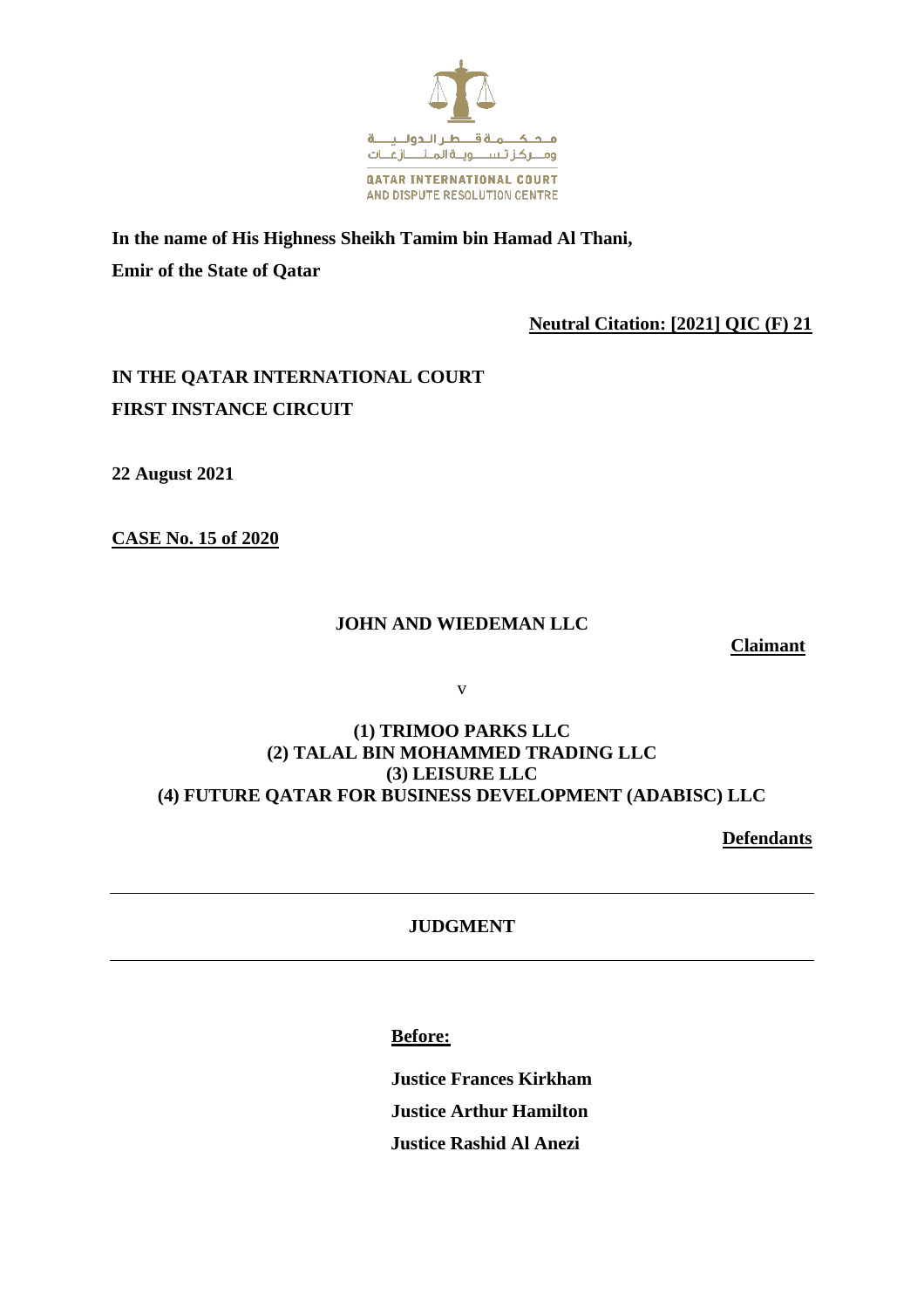

**In the name of His Highness Sheikh Tamim bin Hamad Al Thani, Emir of the State of Qatar**

**Neutral Citation: [2021] QIC (F) 21**

# **IN THE QATAR INTERNATIONAL COURT FIRST INSTANCE CIRCUIT**

**22 August 2021**

**CASE No. 15 of 2020**

# **JOHN AND WIEDEMAN LLC**

**Claimant**

v

# **(1) TRIMOO PARKS LLC (2) TALAL BIN MOHAMMED TRADING LLC (3) LEISURE LLC (4) FUTURE QATAR FOR BUSINESS DEVELOPMENT (ADABISC) LLC**

**Defendants**

# **JUDGMENT**

**Before:**

**Justice Frances Kirkham Justice Arthur Hamilton Justice Rashid Al Anezi**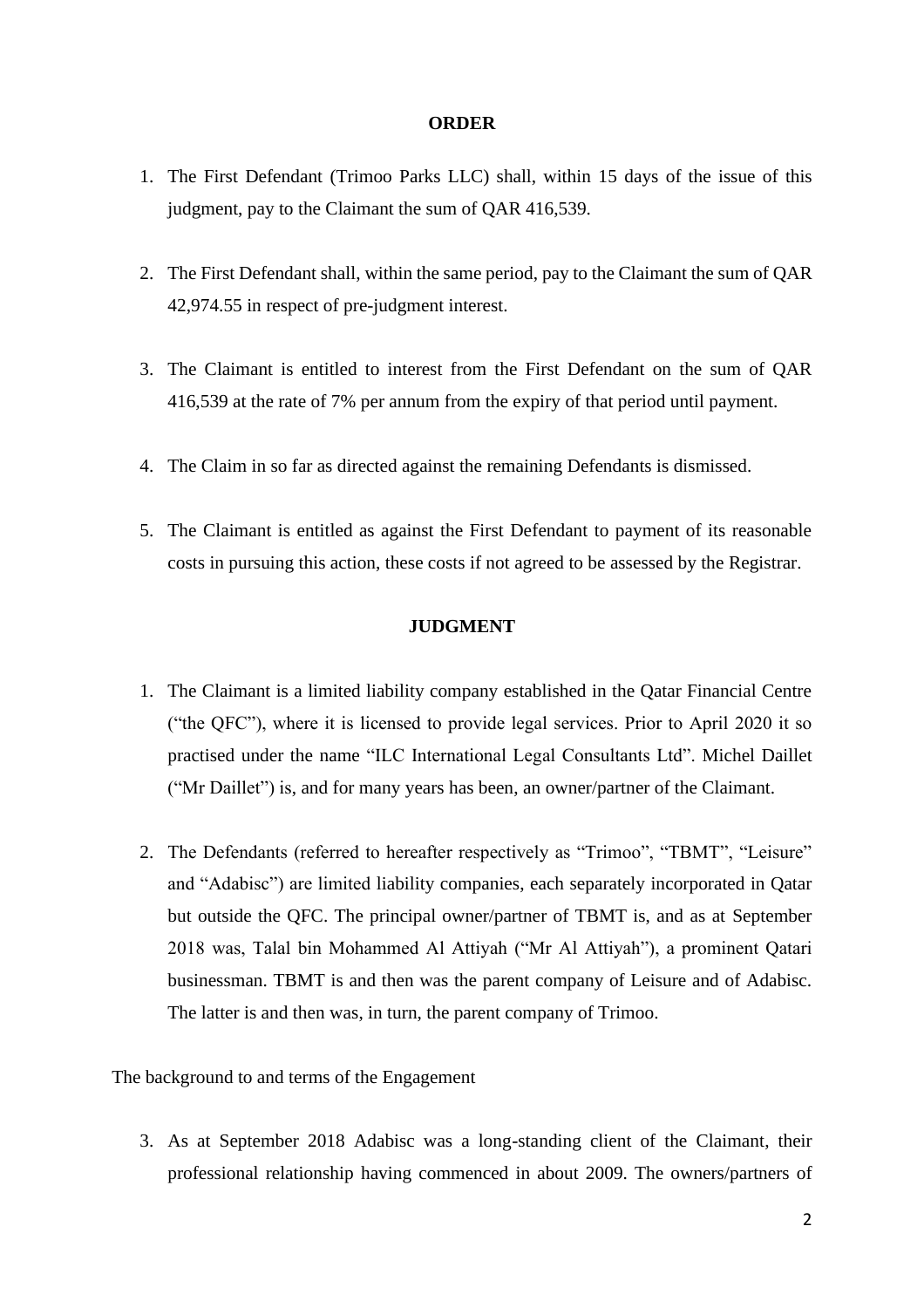#### **ORDER**

- 1. The First Defendant (Trimoo Parks LLC) shall, within 15 days of the issue of this judgment, pay to the Claimant the sum of QAR 416,539.
- 2. The First Defendant shall, within the same period, pay to the Claimant the sum of QAR 42,974.55 in respect of pre-judgment interest.
- 3. The Claimant is entitled to interest from the First Defendant on the sum of QAR 416,539 at the rate of 7% per annum from the expiry of that period until payment.
- 4. The Claim in so far as directed against the remaining Defendants is dismissed.
- 5. The Claimant is entitled as against the First Defendant to payment of its reasonable costs in pursuing this action, these costs if not agreed to be assessed by the Registrar.

# **JUDGMENT**

- 1. The Claimant is a limited liability company established in the Qatar Financial Centre ("the QFC"), where it is licensed to provide legal services. Prior to April 2020 it so practised under the name "ILC International Legal Consultants Ltd". Michel Daillet ("Mr Daillet") is, and for many years has been, an owner/partner of the Claimant.
- 2. The Defendants (referred to hereafter respectively as "Trimoo", "TBMT", "Leisure" and "Adabisc") are limited liability companies, each separately incorporated in Qatar but outside the QFC. The principal owner/partner of TBMT is, and as at September 2018 was, Talal bin Mohammed Al Attiyah ("Mr Al Attiyah"), a prominent Qatari businessman. TBMT is and then was the parent company of Leisure and of Adabisc. The latter is and then was, in turn, the parent company of Trimoo.

The background to and terms of the Engagement

3. As at September 2018 Adabisc was a long-standing client of the Claimant, their professional relationship having commenced in about 2009. The owners/partners of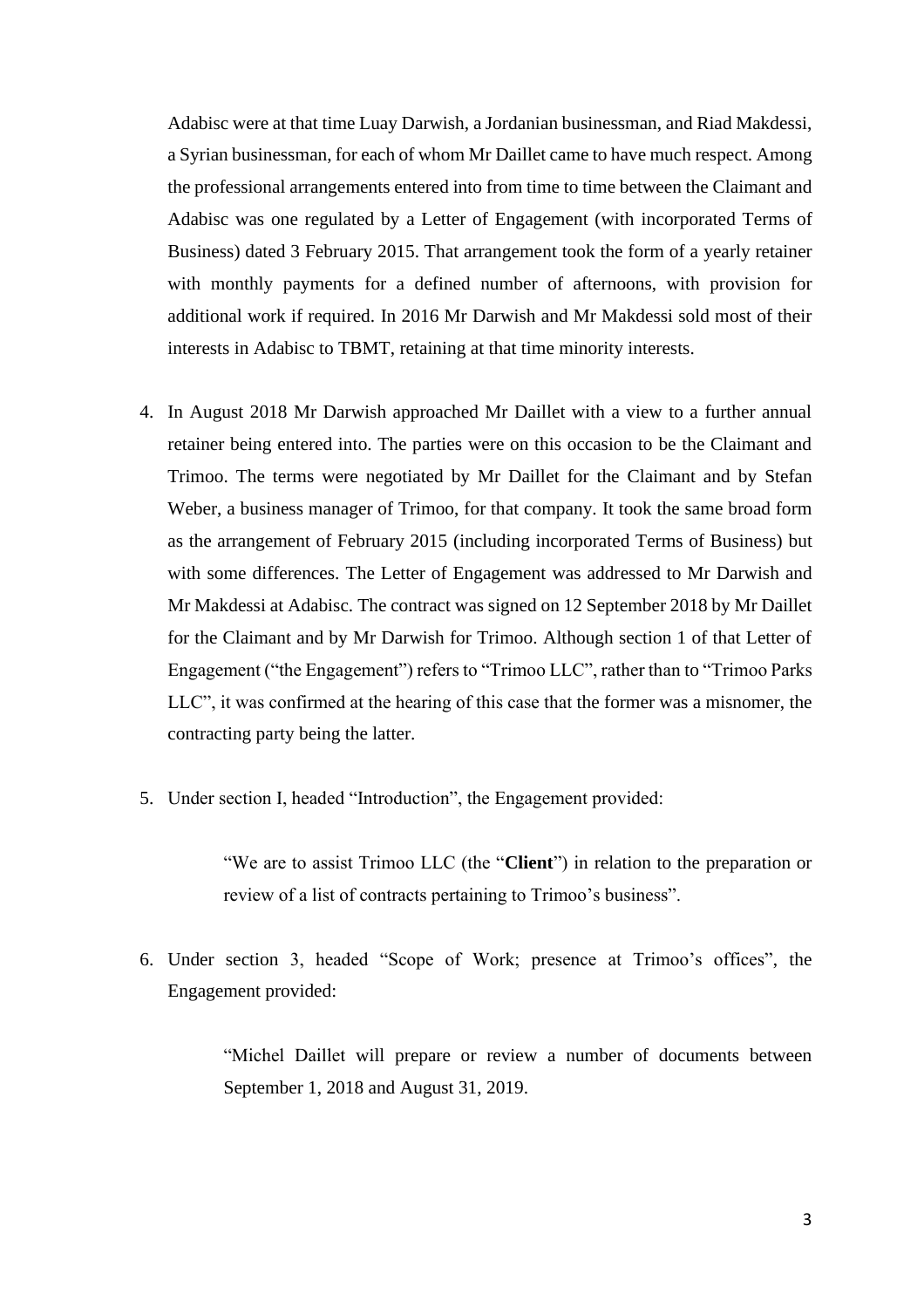Adabisc were at that time Luay Darwish, a Jordanian businessman, and Riad Makdessi, a Syrian businessman, for each of whom Mr Daillet came to have much respect. Among the professional arrangements entered into from time to time between the Claimant and Adabisc was one regulated by a Letter of Engagement (with incorporated Terms of Business) dated 3 February 2015. That arrangement took the form of a yearly retainer with monthly payments for a defined number of afternoons, with provision for additional work if required. In 2016 Mr Darwish and Mr Makdessi sold most of their interests in Adabisc to TBMT, retaining at that time minority interests.

- 4. In August 2018 Mr Darwish approached Mr Daillet with a view to a further annual retainer being entered into. The parties were on this occasion to be the Claimant and Trimoo. The terms were negotiated by Mr Daillet for the Claimant and by Stefan Weber, a business manager of Trimoo, for that company. It took the same broad form as the arrangement of February 2015 (including incorporated Terms of Business) but with some differences. The Letter of Engagement was addressed to Mr Darwish and Mr Makdessi at Adabisc. The contract was signed on 12 September 2018 by Mr Daillet for the Claimant and by Mr Darwish for Trimoo. Although section 1 of that Letter of Engagement ("the Engagement") refers to "Trimoo LLC", rather than to "Trimoo Parks LLC", it was confirmed at the hearing of this case that the former was a misnomer, the contracting party being the latter.
- 5. Under section I, headed "Introduction", the Engagement provided:

"We are to assist Trimoo LLC (the "**Client**") in relation to the preparation or review of a list of contracts pertaining to Trimoo's business".

6. Under section 3, headed "Scope of Work; presence at Trimoo's offices", the Engagement provided:

> "Michel Daillet will prepare or review a number of documents between September 1, 2018 and August 31, 2019.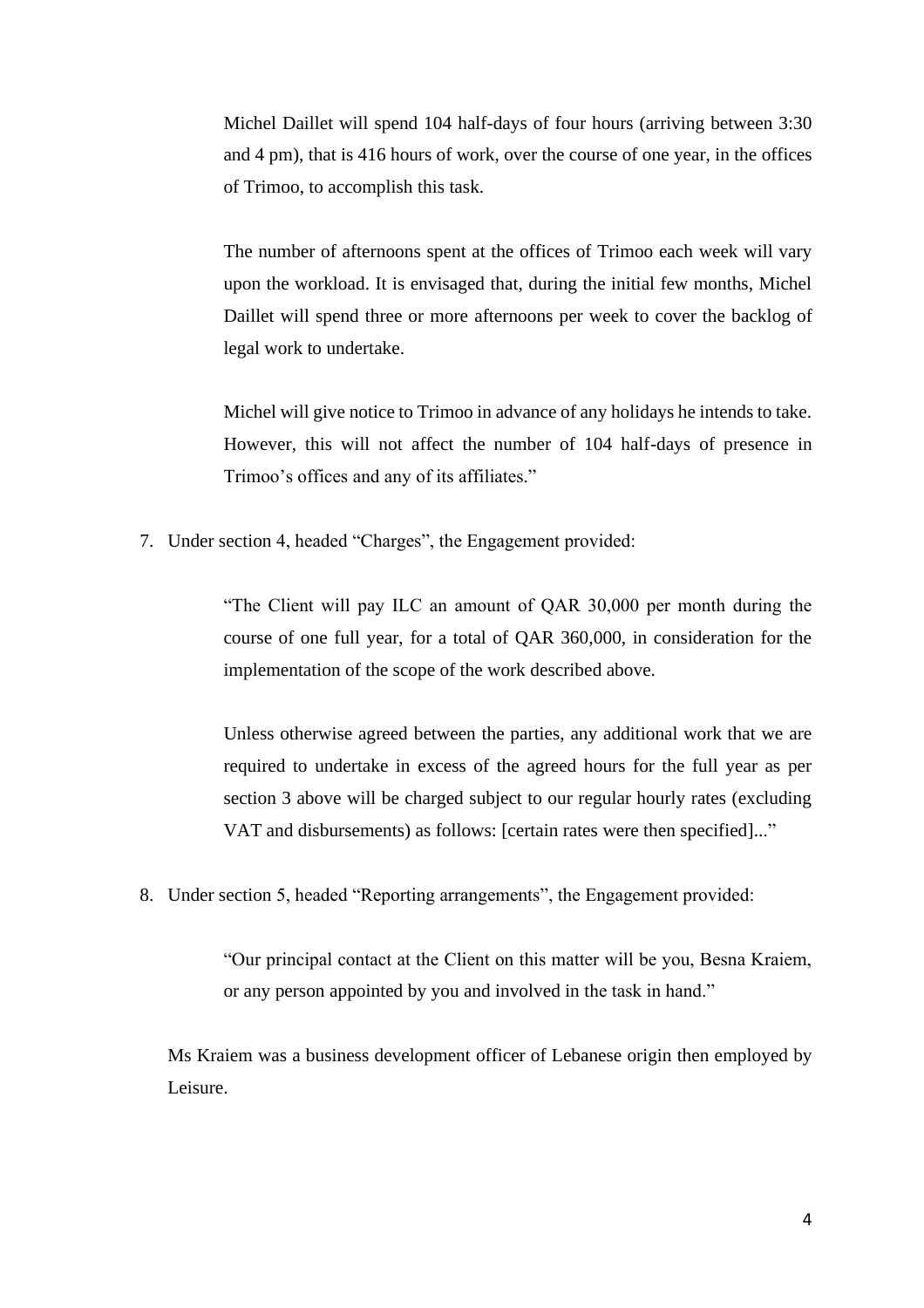Michel Daillet will spend 104 half-days of four hours (arriving between 3:30 and 4 pm), that is 416 hours of work, over the course of one year, in the offices of Trimoo, to accomplish this task.

The number of afternoons spent at the offices of Trimoo each week will vary upon the workload. It is envisaged that, during the initial few months, Michel Daillet will spend three or more afternoons per week to cover the backlog of legal work to undertake.

Michel will give notice to Trimoo in advance of any holidays he intends to take. However, this will not affect the number of 104 half-days of presence in Trimoo's offices and any of its affiliates."

7. Under section 4, headed "Charges", the Engagement provided:

"The Client will pay ILC an amount of QAR 30,000 per month during the course of one full year, for a total of QAR 360,000, in consideration for the implementation of the scope of the work described above.

Unless otherwise agreed between the parties, any additional work that we are required to undertake in excess of the agreed hours for the full year as per section 3 above will be charged subject to our regular hourly rates (excluding VAT and disbursements) as follows: [certain rates were then specified]..."

8. Under section 5, headed "Reporting arrangements", the Engagement provided:

"Our principal contact at the Client on this matter will be you, Besna Kraiem, or any person appointed by you and involved in the task in hand."

Ms Kraiem was a business development officer of Lebanese origin then employed by Leisure.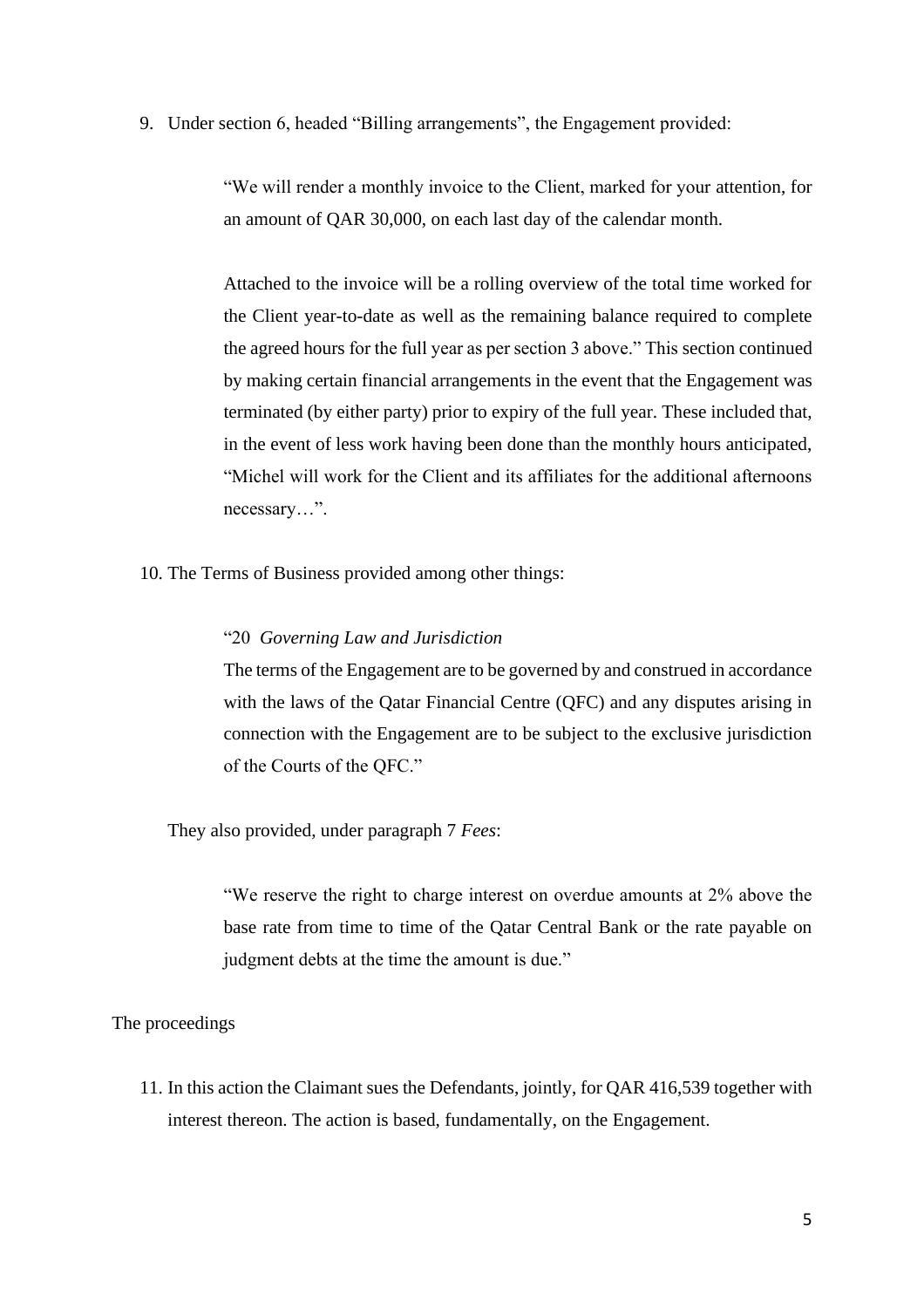9. Under section 6, headed "Billing arrangements", the Engagement provided:

"We will render a monthly invoice to the Client, marked for your attention, for an amount of QAR 30,000, on each last day of the calendar month.

Attached to the invoice will be a rolling overview of the total time worked for the Client year-to-date as well as the remaining balance required to complete the agreed hours for the full year as per section 3 above." This section continued by making certain financial arrangements in the event that the Engagement was terminated (by either party) prior to expiry of the full year. These included that, in the event of less work having been done than the monthly hours anticipated, "Michel will work for the Client and its affiliates for the additional afternoons necessary…".

10. The Terms of Business provided among other things:

# "20 *Governing Law and Jurisdiction*

The terms of the Engagement are to be governed by and construed in accordance with the laws of the Qatar Financial Centre (QFC) and any disputes arising in connection with the Engagement are to be subject to the exclusive jurisdiction of the Courts of the QFC."

They also provided, under paragraph 7 *Fees*:

"We reserve the right to charge interest on overdue amounts at 2% above the base rate from time to time of the Qatar Central Bank or the rate payable on judgment debts at the time the amount is due."

### The proceedings

11. In this action the Claimant sues the Defendants, jointly, for QAR 416,539 together with interest thereon. The action is based, fundamentally, on the Engagement.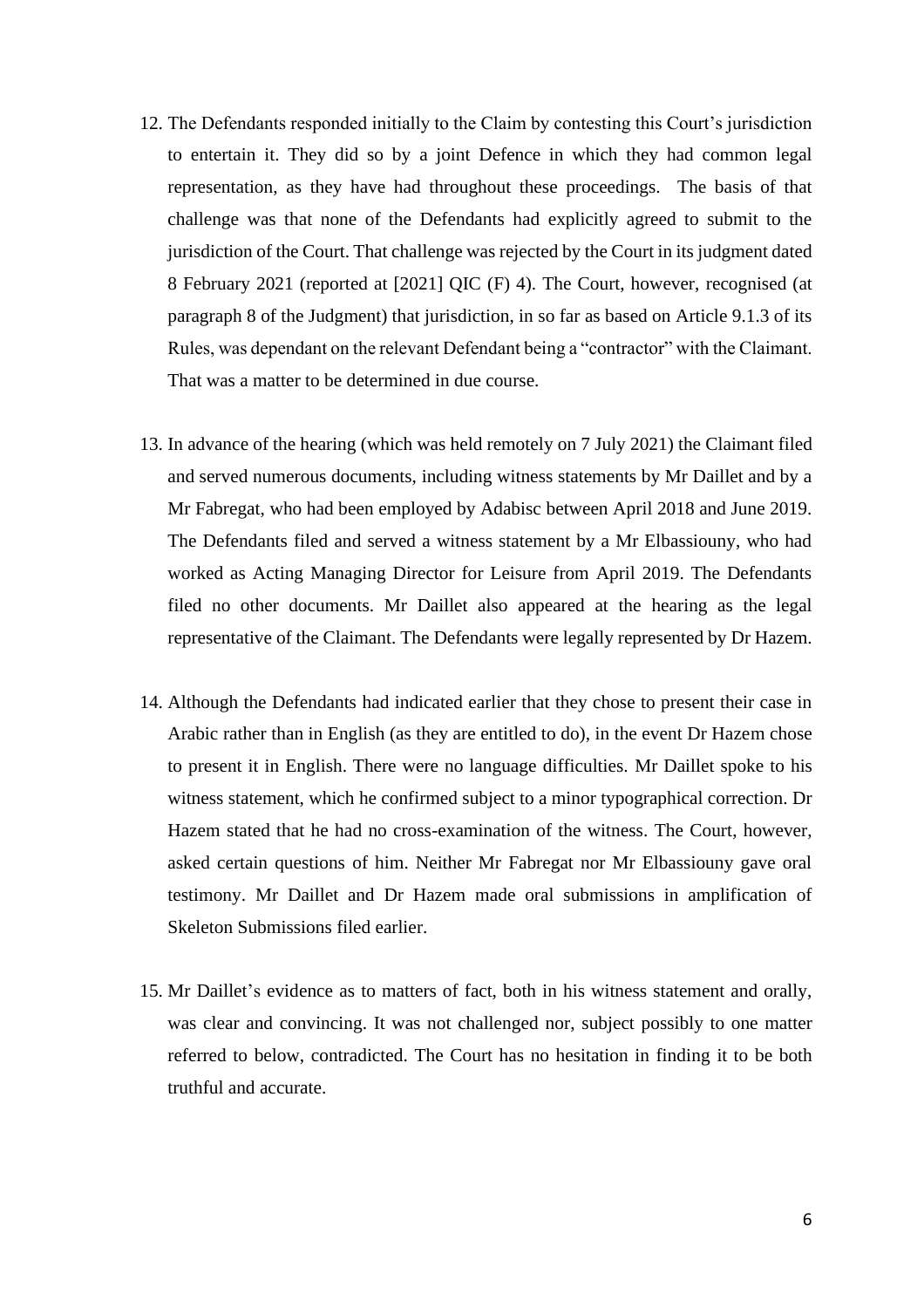- 12. The Defendants responded initially to the Claim by contesting this Court's jurisdiction to entertain it. They did so by a joint Defence in which they had common legal representation, as they have had throughout these proceedings. The basis of that challenge was that none of the Defendants had explicitly agreed to submit to the jurisdiction of the Court. That challenge was rejected by the Court in its judgment dated 8 February 2021 (reported at [2021] QIC (F) 4). The Court, however, recognised (at paragraph 8 of the Judgment) that jurisdiction, in so far as based on Article 9.1.3 of its Rules, was dependant on the relevant Defendant being a "contractor" with the Claimant. That was a matter to be determined in due course.
- 13. In advance of the hearing (which was held remotely on 7 July 2021) the Claimant filed and served numerous documents, including witness statements by Mr Daillet and by a Mr Fabregat, who had been employed by Adabisc between April 2018 and June 2019. The Defendants filed and served a witness statement by a Mr Elbassiouny, who had worked as Acting Managing Director for Leisure from April 2019. The Defendants filed no other documents. Mr Daillet also appeared at the hearing as the legal representative of the Claimant. The Defendants were legally represented by Dr Hazem.
- 14. Although the Defendants had indicated earlier that they chose to present their case in Arabic rather than in English (as they are entitled to do), in the event Dr Hazem chose to present it in English. There were no language difficulties. Mr Daillet spoke to his witness statement, which he confirmed subject to a minor typographical correction. Dr Hazem stated that he had no cross-examination of the witness. The Court, however, asked certain questions of him. Neither Mr Fabregat nor Mr Elbassiouny gave oral testimony. Mr Daillet and Dr Hazem made oral submissions in amplification of Skeleton Submissions filed earlier.
- 15. Mr Daillet's evidence as to matters of fact, both in his witness statement and orally, was clear and convincing. It was not challenged nor, subject possibly to one matter referred to below, contradicted. The Court has no hesitation in finding it to be both truthful and accurate.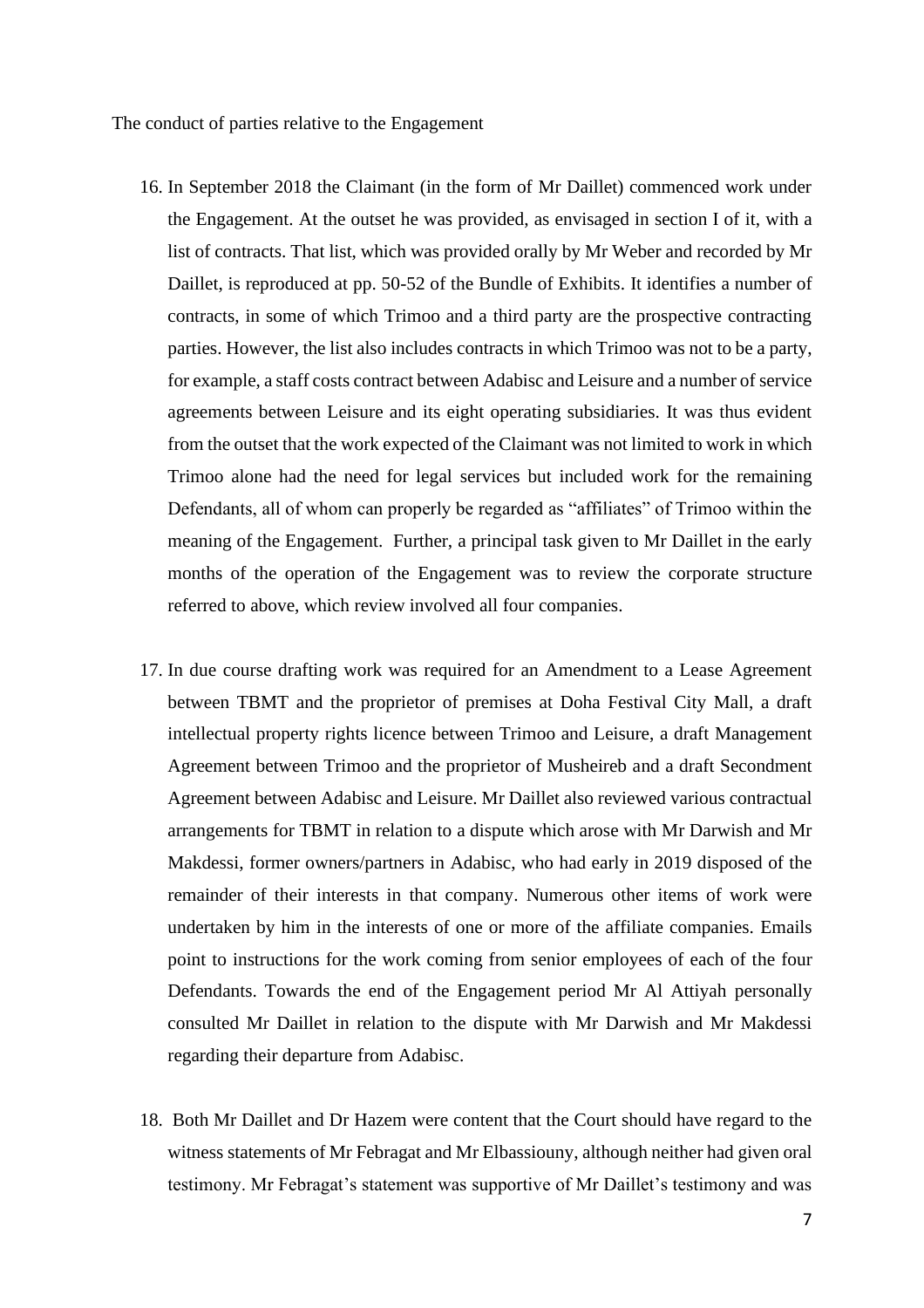The conduct of parties relative to the Engagement

- 16. In September 2018 the Claimant (in the form of Mr Daillet) commenced work under the Engagement. At the outset he was provided, as envisaged in section I of it, with a list of contracts. That list, which was provided orally by Mr Weber and recorded by Mr Daillet, is reproduced at pp. 50-52 of the Bundle of Exhibits. It identifies a number of contracts, in some of which Trimoo and a third party are the prospective contracting parties. However, the list also includes contracts in which Trimoo was not to be a party, for example, a staff costs contract between Adabisc and Leisure and a number of service agreements between Leisure and its eight operating subsidiaries. It was thus evident from the outset that the work expected of the Claimant was not limited to work in which Trimoo alone had the need for legal services but included work for the remaining Defendants, all of whom can properly be regarded as "affiliates" of Trimoo within the meaning of the Engagement. Further, a principal task given to Mr Daillet in the early months of the operation of the Engagement was to review the corporate structure referred to above, which review involved all four companies.
- 17. In due course drafting work was required for an Amendment to a Lease Agreement between TBMT and the proprietor of premises at Doha Festival City Mall, a draft intellectual property rights licence between Trimoo and Leisure, a draft Management Agreement between Trimoo and the proprietor of Musheireb and a draft Secondment Agreement between Adabisc and Leisure. Mr Daillet also reviewed various contractual arrangements for TBMT in relation to a dispute which arose with Mr Darwish and Mr Makdessi, former owners/partners in Adabisc, who had early in 2019 disposed of the remainder of their interests in that company. Numerous other items of work were undertaken by him in the interests of one or more of the affiliate companies. Emails point to instructions for the work coming from senior employees of each of the four Defendants. Towards the end of the Engagement period Mr Al Attiyah personally consulted Mr Daillet in relation to the dispute with Mr Darwish and Mr Makdessi regarding their departure from Adabisc.
- 18. Both Mr Daillet and Dr Hazem were content that the Court should have regard to the witness statements of Mr Febragat and Mr Elbassiouny, although neither had given oral testimony. Mr Febragat's statement was supportive of Mr Daillet's testimony and was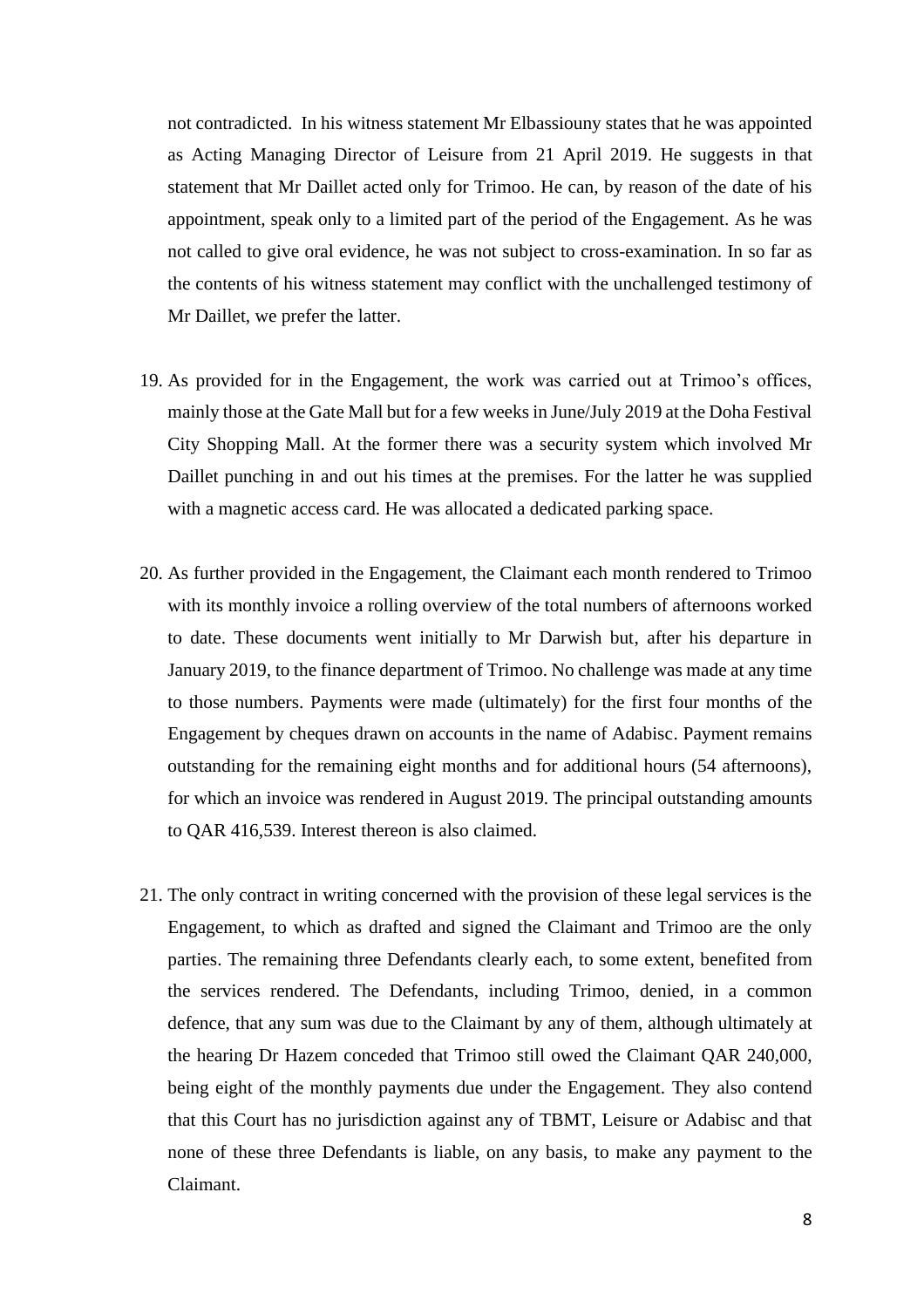not contradicted. In his witness statement Mr Elbassiouny states that he was appointed as Acting Managing Director of Leisure from 21 April 2019. He suggests in that statement that Mr Daillet acted only for Trimoo. He can, by reason of the date of his appointment, speak only to a limited part of the period of the Engagement. As he was not called to give oral evidence, he was not subject to cross-examination. In so far as the contents of his witness statement may conflict with the unchallenged testimony of Mr Daillet, we prefer the latter.

- 19. As provided for in the Engagement, the work was carried out at Trimoo's offices, mainly those at the Gate Mall but for a few weeks in June/July 2019 at the Doha Festival City Shopping Mall. At the former there was a security system which involved Mr Daillet punching in and out his times at the premises. For the latter he was supplied with a magnetic access card. He was allocated a dedicated parking space.
- 20. As further provided in the Engagement, the Claimant each month rendered to Trimoo with its monthly invoice a rolling overview of the total numbers of afternoons worked to date. These documents went initially to Mr Darwish but, after his departure in January 2019, to the finance department of Trimoo. No challenge was made at any time to those numbers. Payments were made (ultimately) for the first four months of the Engagement by cheques drawn on accounts in the name of Adabisc. Payment remains outstanding for the remaining eight months and for additional hours (54 afternoons), for which an invoice was rendered in August 2019. The principal outstanding amounts to QAR 416,539. Interest thereon is also claimed.
- 21. The only contract in writing concerned with the provision of these legal services is the Engagement, to which as drafted and signed the Claimant and Trimoo are the only parties. The remaining three Defendants clearly each, to some extent, benefited from the services rendered. The Defendants, including Trimoo, denied, in a common defence, that any sum was due to the Claimant by any of them, although ultimately at the hearing Dr Hazem conceded that Trimoo still owed the Claimant QAR 240,000, being eight of the monthly payments due under the Engagement. They also contend that this Court has no jurisdiction against any of TBMT, Leisure or Adabisc and that none of these three Defendants is liable, on any basis, to make any payment to the Claimant.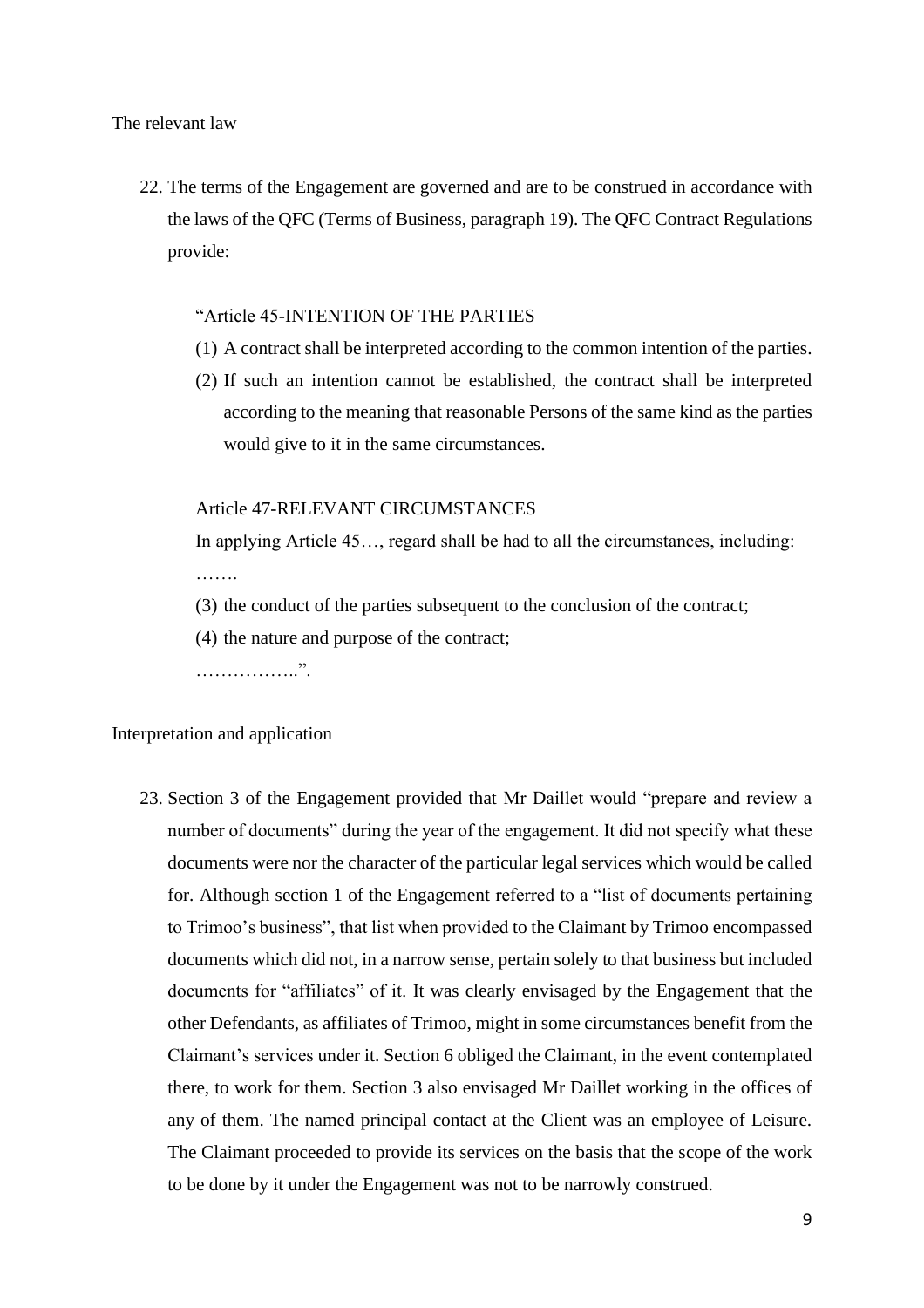The relevant law

22. The terms of the Engagement are governed and are to be construed in accordance with the laws of the QFC (Terms of Business, paragraph 19). The QFC Contract Regulations provide:

## "Article 45-INTENTION OF THE PARTIES

- (1) A contract shall be interpreted according to the common intention of the parties.
- (2) If such an intention cannot be established, the contract shall be interpreted according to the meaning that reasonable Persons of the same kind as the parties would give to it in the same circumstances.

# Article 47-RELEVANT CIRCUMSTANCES

In applying Article 45…, regard shall be had to all the circumstances, including: ……

- (3) the conduct of the parties subsequent to the conclusion of the contract;
- (4) the nature and purpose of the contract;

……………..".

#### Interpretation and application

23. Section 3 of the Engagement provided that Mr Daillet would "prepare and review a number of documents" during the year of the engagement. It did not specify what these documents were nor the character of the particular legal services which would be called for. Although section 1 of the Engagement referred to a "list of documents pertaining to Trimoo's business", that list when provided to the Claimant by Trimoo encompassed documents which did not, in a narrow sense, pertain solely to that business but included documents for "affiliates" of it. It was clearly envisaged by the Engagement that the other Defendants, as affiliates of Trimoo, might in some circumstances benefit from the Claimant's services under it. Section 6 obliged the Claimant, in the event contemplated there, to work for them. Section 3 also envisaged Mr Daillet working in the offices of any of them. The named principal contact at the Client was an employee of Leisure. The Claimant proceeded to provide its services on the basis that the scope of the work to be done by it under the Engagement was not to be narrowly construed.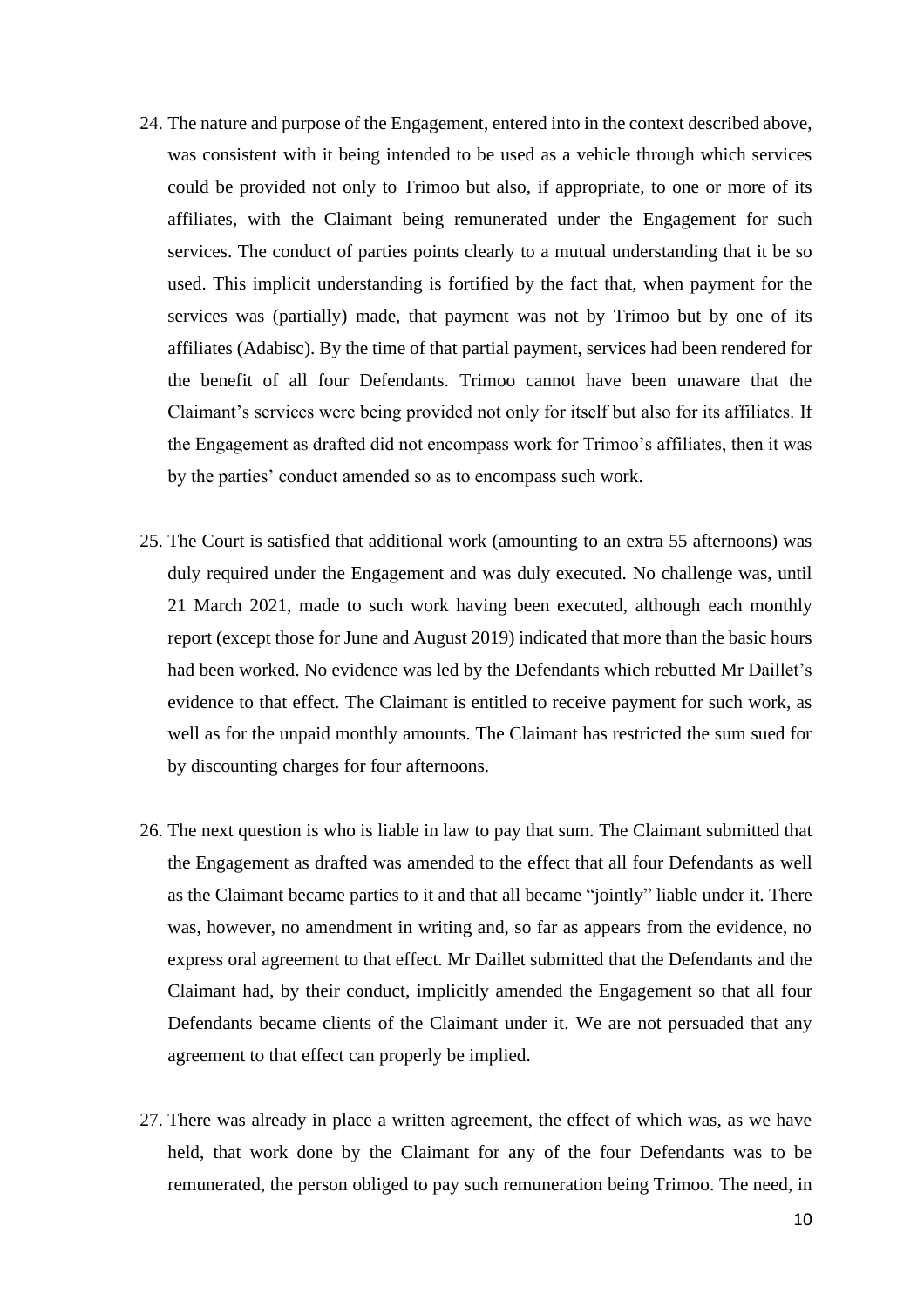- 24. The nature and purpose of the Engagement, entered into in the context described above, was consistent with it being intended to be used as a vehicle through which services could be provided not only to Trimoo but also, if appropriate, to one or more of its affiliates, with the Claimant being remunerated under the Engagement for such services. The conduct of parties points clearly to a mutual understanding that it be so used. This implicit understanding is fortified by the fact that, when payment for the services was (partially) made, that payment was not by Trimoo but by one of its affiliates (Adabisc). By the time of that partial payment, services had been rendered for the benefit of all four Defendants. Trimoo cannot have been unaware that the Claimant's services were being provided not only for itself but also for its affiliates. If the Engagement as drafted did not encompass work for Trimoo's affiliates, then it was by the parties' conduct amended so as to encompass such work.
- 25. The Court is satisfied that additional work (amounting to an extra 55 afternoons) was duly required under the Engagement and was duly executed. No challenge was, until 21 March 2021, made to such work having been executed, although each monthly report (except those for June and August 2019) indicated that more than the basic hours had been worked. No evidence was led by the Defendants which rebutted Mr Daillet's evidence to that effect. The Claimant is entitled to receive payment for such work, as well as for the unpaid monthly amounts. The Claimant has restricted the sum sued for by discounting charges for four afternoons.
- 26. The next question is who is liable in law to pay that sum. The Claimant submitted that the Engagement as drafted was amended to the effect that all four Defendants as well as the Claimant became parties to it and that all became "jointly" liable under it. There was, however, no amendment in writing and, so far as appears from the evidence, no express oral agreement to that effect. Mr Daillet submitted that the Defendants and the Claimant had, by their conduct, implicitly amended the Engagement so that all four Defendants became clients of the Claimant under it. We are not persuaded that any agreement to that effect can properly be implied.
- 27. There was already in place a written agreement, the effect of which was, as we have held, that work done by the Claimant for any of the four Defendants was to be remunerated, the person obliged to pay such remuneration being Trimoo. The need, in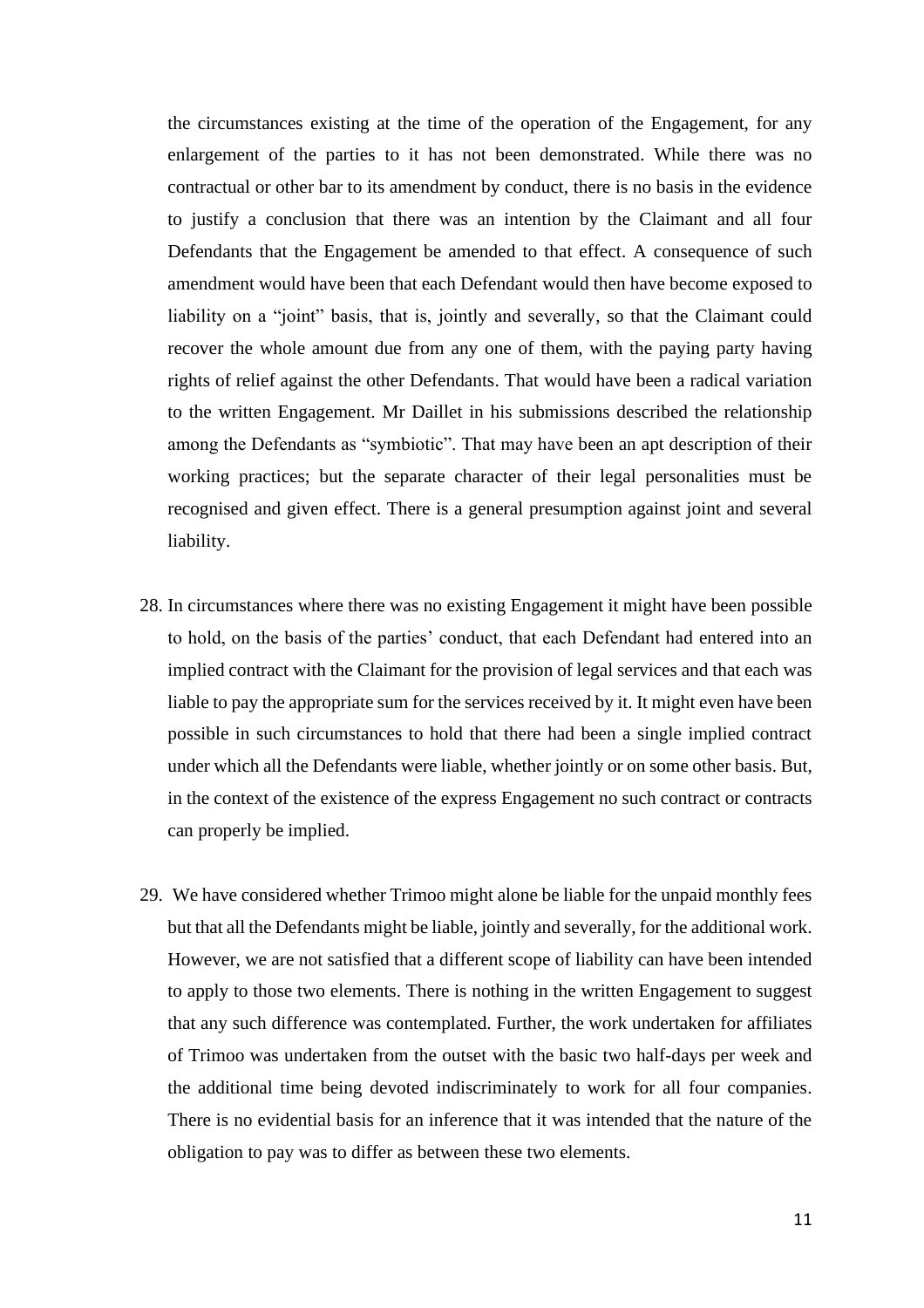the circumstances existing at the time of the operation of the Engagement, for any enlargement of the parties to it has not been demonstrated. While there was no contractual or other bar to its amendment by conduct, there is no basis in the evidence to justify a conclusion that there was an intention by the Claimant and all four Defendants that the Engagement be amended to that effect. A consequence of such amendment would have been that each Defendant would then have become exposed to liability on a "joint" basis, that is, jointly and severally, so that the Claimant could recover the whole amount due from any one of them, with the paying party having rights of relief against the other Defendants. That would have been a radical variation to the written Engagement. Mr Daillet in his submissions described the relationship among the Defendants as "symbiotic". That may have been an apt description of their working practices; but the separate character of their legal personalities must be recognised and given effect. There is a general presumption against joint and several liability.

- 28. In circumstances where there was no existing Engagement it might have been possible to hold, on the basis of the parties' conduct, that each Defendant had entered into an implied contract with the Claimant for the provision of legal services and that each was liable to pay the appropriate sum for the services received by it. It might even have been possible in such circumstances to hold that there had been a single implied contract under which all the Defendants were liable, whether jointly or on some other basis. But, in the context of the existence of the express Engagement no such contract or contracts can properly be implied.
- 29. We have considered whether Trimoo might alone be liable for the unpaid monthly fees but that all the Defendants might be liable, jointly and severally, for the additional work. However, we are not satisfied that a different scope of liability can have been intended to apply to those two elements. There is nothing in the written Engagement to suggest that any such difference was contemplated. Further, the work undertaken for affiliates of Trimoo was undertaken from the outset with the basic two half-days per week and the additional time being devoted indiscriminately to work for all four companies. There is no evidential basis for an inference that it was intended that the nature of the obligation to pay was to differ as between these two elements.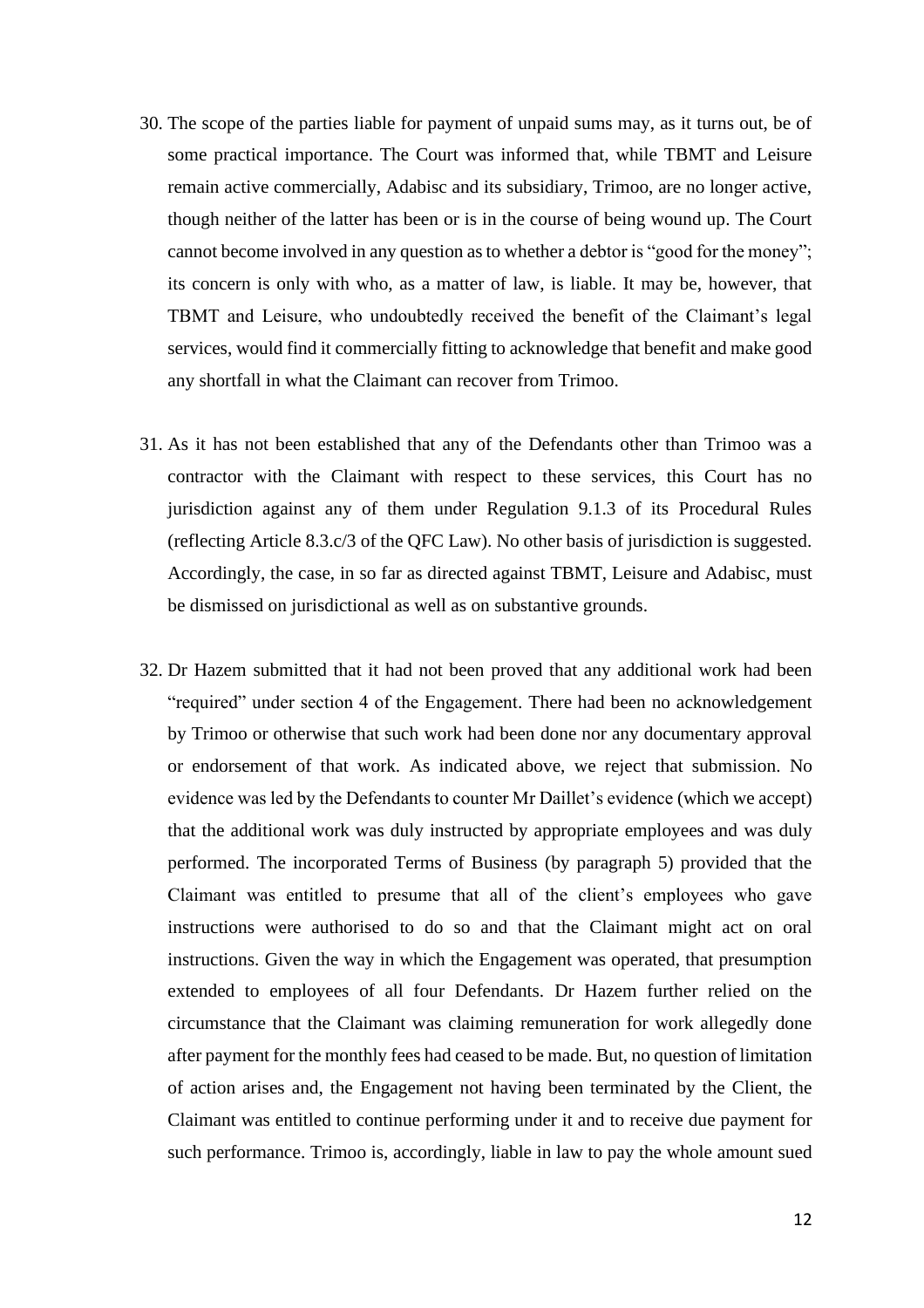- 30. The scope of the parties liable for payment of unpaid sums may, as it turns out, be of some practical importance. The Court was informed that, while TBMT and Leisure remain active commercially, Adabisc and its subsidiary, Trimoo, are no longer active, though neither of the latter has been or is in the course of being wound up. The Court cannot become involved in any question as to whether a debtor is "good for the money"; its concern is only with who, as a matter of law, is liable. It may be, however, that TBMT and Leisure, who undoubtedly received the benefit of the Claimant's legal services, would find it commercially fitting to acknowledge that benefit and make good any shortfall in what the Claimant can recover from Trimoo.
- 31. As it has not been established that any of the Defendants other than Trimoo was a contractor with the Claimant with respect to these services, this Court has no jurisdiction against any of them under Regulation 9.1.3 of its Procedural Rules (reflecting Article 8.3.c/3 of the QFC Law). No other basis of jurisdiction is suggested. Accordingly, the case, in so far as directed against TBMT, Leisure and Adabisc, must be dismissed on jurisdictional as well as on substantive grounds.
- 32. Dr Hazem submitted that it had not been proved that any additional work had been "required" under section 4 of the Engagement. There had been no acknowledgement by Trimoo or otherwise that such work had been done nor any documentary approval or endorsement of that work. As indicated above, we reject that submission. No evidence was led by the Defendants to counter Mr Daillet's evidence (which we accept) that the additional work was duly instructed by appropriate employees and was duly performed. The incorporated Terms of Business (by paragraph 5) provided that the Claimant was entitled to presume that all of the client's employees who gave instructions were authorised to do so and that the Claimant might act on oral instructions. Given the way in which the Engagement was operated, that presumption extended to employees of all four Defendants. Dr Hazem further relied on the circumstance that the Claimant was claiming remuneration for work allegedly done after payment for the monthly fees had ceased to be made. But, no question of limitation of action arises and, the Engagement not having been terminated by the Client, the Claimant was entitled to continue performing under it and to receive due payment for such performance. Trimoo is, accordingly, liable in law to pay the whole amount sued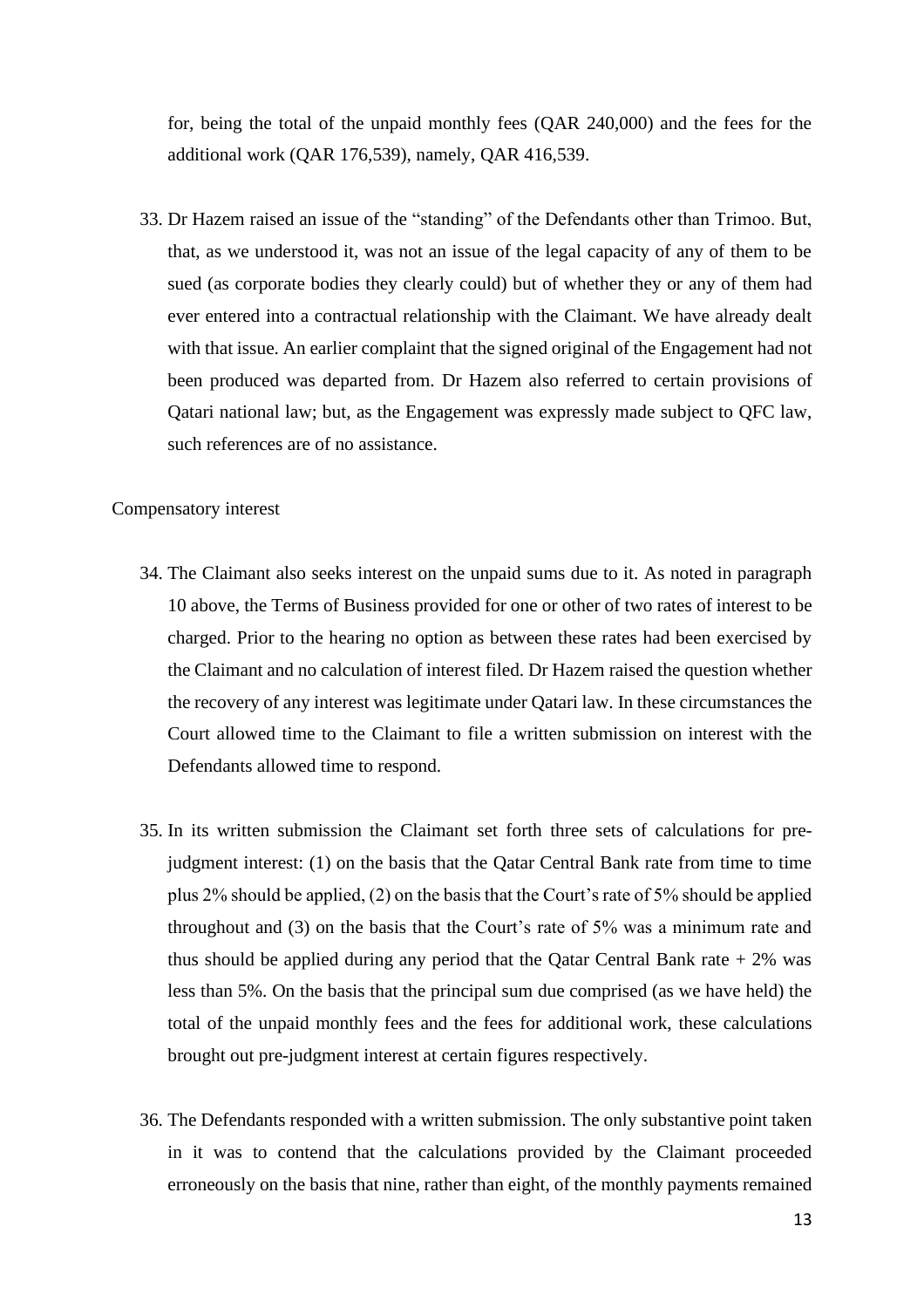for, being the total of the unpaid monthly fees (QAR 240,000) and the fees for the additional work (QAR 176,539), namely, QAR 416,539.

33. Dr Hazem raised an issue of the "standing" of the Defendants other than Trimoo. But, that, as we understood it, was not an issue of the legal capacity of any of them to be sued (as corporate bodies they clearly could) but of whether they or any of them had ever entered into a contractual relationship with the Claimant. We have already dealt with that issue. An earlier complaint that the signed original of the Engagement had not been produced was departed from. Dr Hazem also referred to certain provisions of Qatari national law; but, as the Engagement was expressly made subject to QFC law, such references are of no assistance.

#### Compensatory interest

- 34. The Claimant also seeks interest on the unpaid sums due to it. As noted in paragraph 10 above, the Terms of Business provided for one or other of two rates of interest to be charged. Prior to the hearing no option as between these rates had been exercised by the Claimant and no calculation of interest filed. Dr Hazem raised the question whether the recovery of any interest was legitimate under Qatari law. In these circumstances the Court allowed time to the Claimant to file a written submission on interest with the Defendants allowed time to respond.
- 35. In its written submission the Claimant set forth three sets of calculations for prejudgment interest: (1) on the basis that the Qatar Central Bank rate from time to time plus 2% should be applied, (2) on the basis that the Court's rate of 5% should be applied throughout and (3) on the basis that the Court's rate of 5% was a minimum rate and thus should be applied during any period that the Qatar Central Bank rate  $+2\%$  was less than 5%. On the basis that the principal sum due comprised (as we have held) the total of the unpaid monthly fees and the fees for additional work, these calculations brought out pre-judgment interest at certain figures respectively.
- 36. The Defendants responded with a written submission. The only substantive point taken in it was to contend that the calculations provided by the Claimant proceeded erroneously on the basis that nine, rather than eight, of the monthly payments remained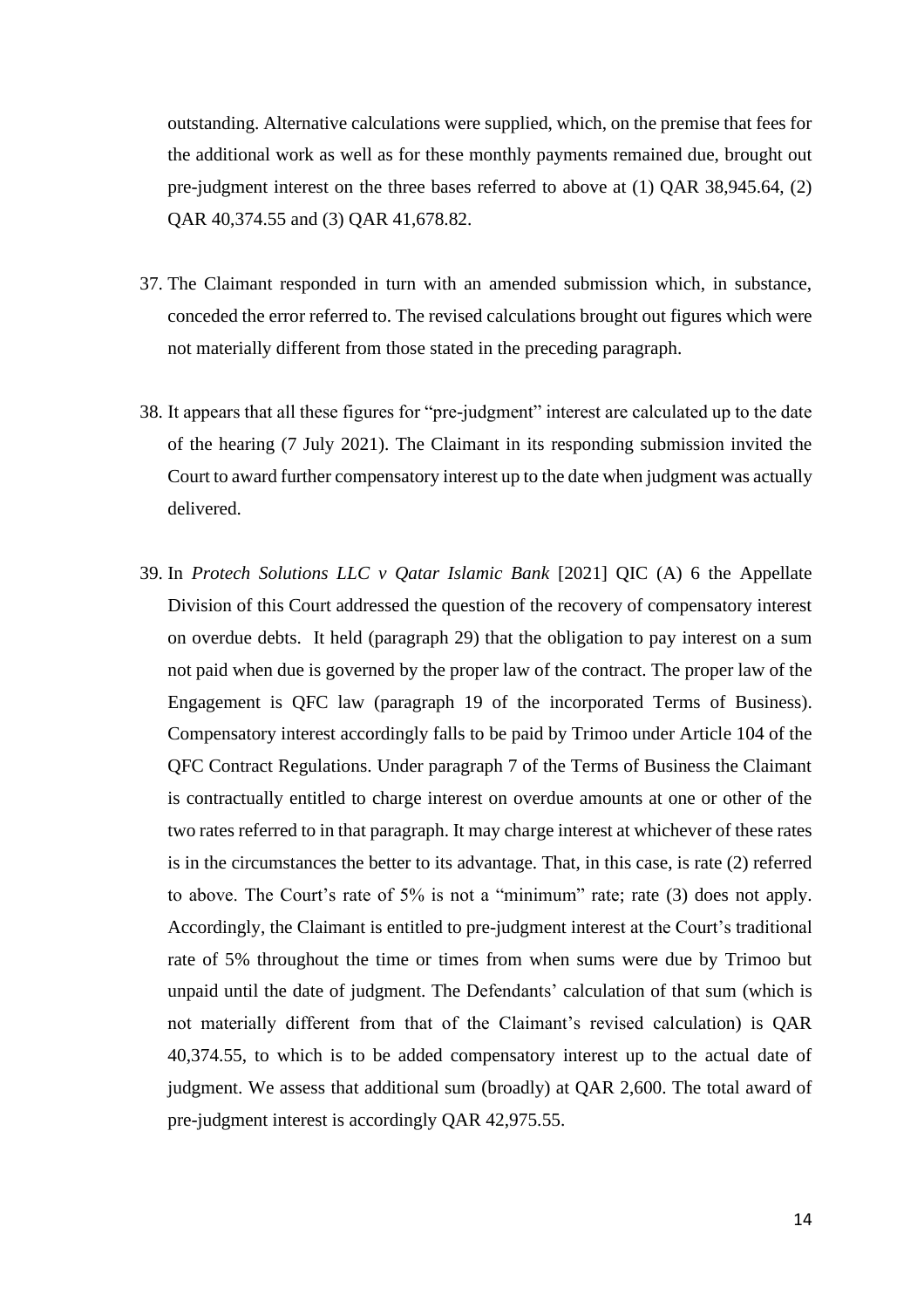outstanding. Alternative calculations were supplied, which, on the premise that fees for the additional work as well as for these monthly payments remained due, brought out pre-judgment interest on the three bases referred to above at (1) QAR 38,945.64, (2) QAR 40,374.55 and (3) QAR 41,678.82.

- 37. The Claimant responded in turn with an amended submission which, in substance, conceded the error referred to. The revised calculations brought out figures which were not materially different from those stated in the preceding paragraph.
- 38. It appears that all these figures for "pre-judgment" interest are calculated up to the date of the hearing (7 July 2021). The Claimant in its responding submission invited the Court to award further compensatory interest up to the date when judgment was actually delivered.
- 39. In *Protech Solutions LLC v Qatar Islamic Bank* [2021] QIC (A) 6 the Appellate Division of this Court addressed the question of the recovery of compensatory interest on overdue debts. It held (paragraph 29) that the obligation to pay interest on a sum not paid when due is governed by the proper law of the contract. The proper law of the Engagement is QFC law (paragraph 19 of the incorporated Terms of Business). Compensatory interest accordingly falls to be paid by Trimoo under Article 104 of the QFC Contract Regulations. Under paragraph 7 of the Terms of Business the Claimant is contractually entitled to charge interest on overdue amounts at one or other of the two rates referred to in that paragraph. It may charge interest at whichever of these rates is in the circumstances the better to its advantage. That, in this case, is rate (2) referred to above. The Court's rate of 5% is not a "minimum" rate; rate (3) does not apply. Accordingly, the Claimant is entitled to pre-judgment interest at the Court's traditional rate of 5% throughout the time or times from when sums were due by Trimoo but unpaid until the date of judgment. The Defendants' calculation of that sum (which is not materially different from that of the Claimant's revised calculation) is QAR 40,374.55, to which is to be added compensatory interest up to the actual date of judgment. We assess that additional sum (broadly) at QAR 2,600. The total award of pre-judgment interest is accordingly QAR 42,975.55.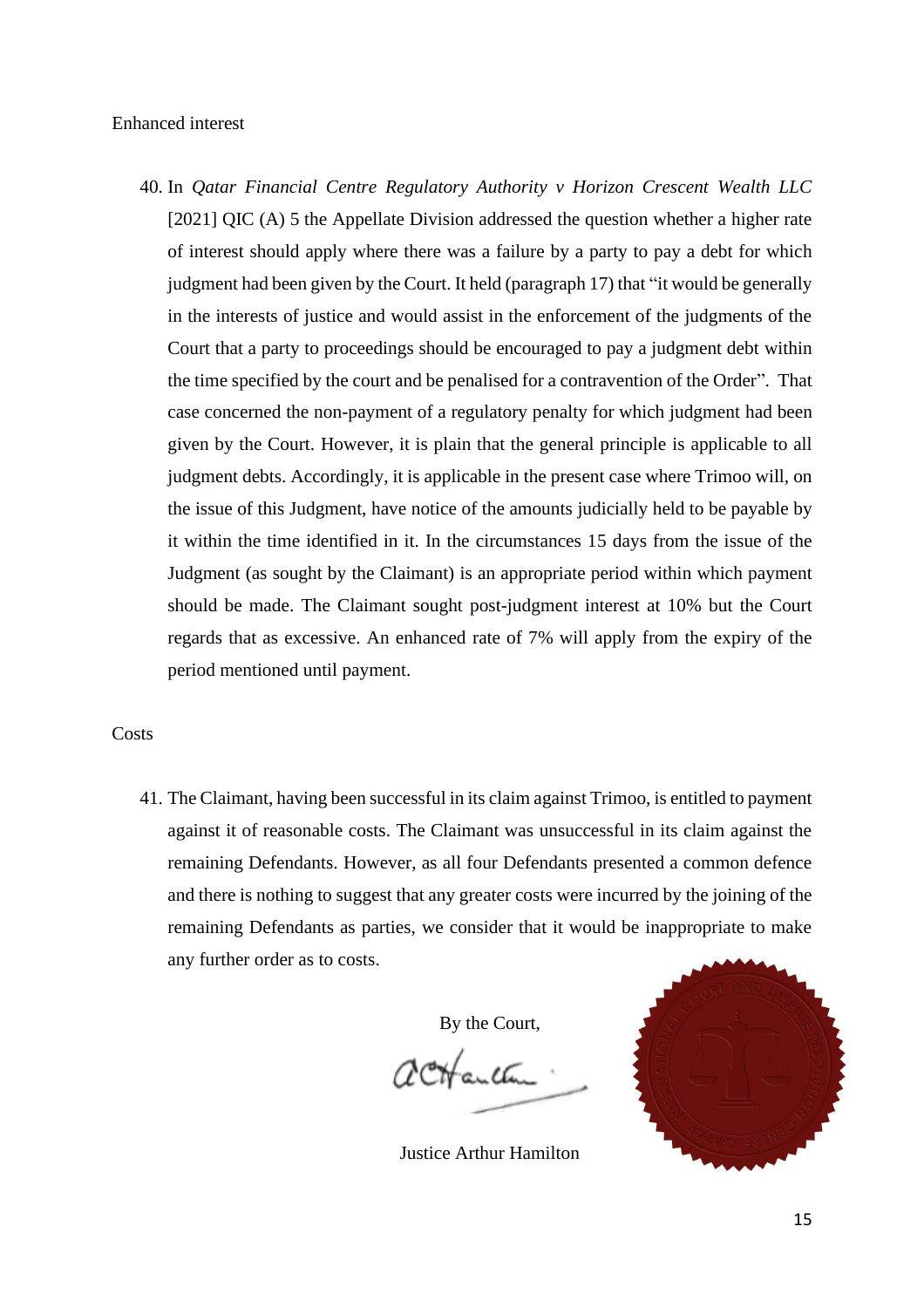#### Enhanced interest

40. In *Qatar Financial Centre Regulatory Authority v Horizon Crescent Wealth LLC* [2021] QIC (A) 5 the Appellate Division addressed the question whether a higher rate of interest should apply where there was a failure by a party to pay a debt for which judgment had been given by the Court. It held (paragraph 17) that "it would be generally in the interests of justice and would assist in the enforcement of the judgments of the Court that a party to proceedings should be encouraged to pay a judgment debt within the time specified by the court and be penalised for a contravention of the Order". That case concerned the non-payment of a regulatory penalty for which judgment had been given by the Court. However, it is plain that the general principle is applicable to all judgment debts. Accordingly, it is applicable in the present case where Trimoo will, on the issue of this Judgment, have notice of the amounts judicially held to be payable by it within the time identified in it. In the circumstances 15 days from the issue of the Judgment (as sought by the Claimant) is an appropriate period within which payment should be made. The Claimant sought post-judgment interest at 10% but the Court regards that as excessive. An enhanced rate of 7% will apply from the expiry of the period mentioned until payment.

#### **Costs**

41. The Claimant, having been successful in its claim against Trimoo, is entitled to payment against it of reasonable costs. The Claimant was unsuccessful in its claim against the remaining Defendants. However, as all four Defendants presented a common defence and there is nothing to suggest that any greater costs were incurred by the joining of the remaining Defendants as parties, we consider that it would be inappropriate to make any further order as to costs.

By the Court,

2 CH anthu

Justice Arthur Hamilton